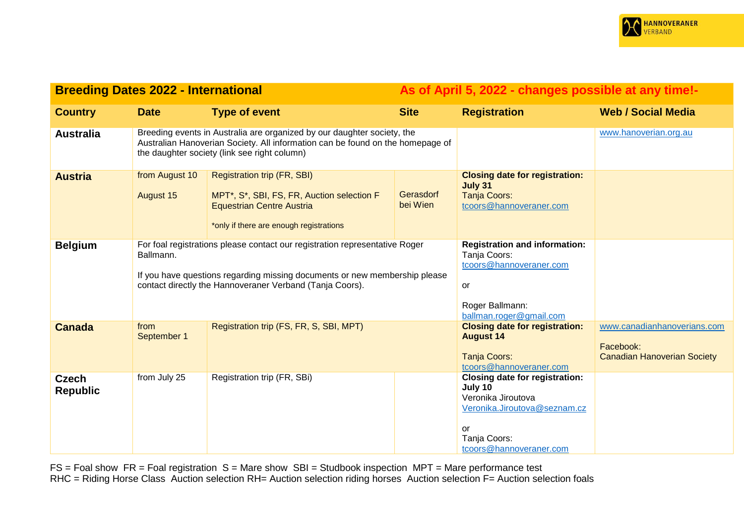| <b>Breeding Dates 2022 - International</b> |                                                                                                                                                                                                                                    | As of April 5, 2022 - changes possible at any time!-                                                                                                            |                       |                                                                                                                                                         |                                                                                |
|--------------------------------------------|------------------------------------------------------------------------------------------------------------------------------------------------------------------------------------------------------------------------------------|-----------------------------------------------------------------------------------------------------------------------------------------------------------------|-----------------------|---------------------------------------------------------------------------------------------------------------------------------------------------------|--------------------------------------------------------------------------------|
| <b>Country</b>                             | <b>Date</b>                                                                                                                                                                                                                        | <b>Type of event</b>                                                                                                                                            | <b>Site</b>           | <b>Registration</b>                                                                                                                                     | <b>Web / Social Media</b>                                                      |
| <b>Australia</b>                           | Breeding events in Australia are organized by our daughter society, the<br>Australian Hanoverian Society. All information can be found on the homepage of<br>the daughter society (link see right column)                          |                                                                                                                                                                 |                       |                                                                                                                                                         | www.hanoverian.org.au                                                          |
| <b>Austria</b>                             | from August 10<br><b>August 15</b>                                                                                                                                                                                                 | <b>Registration trip (FR, SBI)</b><br>MPT*, S*, SBI, FS, FR, Auction selection F<br><b>Equestrian Centre Austria</b><br>*only if there are enough registrations | Gerasdorf<br>bei Wien | <b>Closing date for registration:</b><br>July 31<br><b>Tanja Coors:</b><br>tcoors@hannoveraner.com                                                      |                                                                                |
| <b>Belgium</b>                             | For foal registrations please contact our registration representative Roger<br>Ballmann.<br>If you have questions regarding missing documents or new membership please<br>contact directly the Hannoveraner Verband (Tanja Coors). |                                                                                                                                                                 |                       | <b>Registration and information:</b><br>Tanja Coors:<br>tcoors@hannoveraner.com<br>or<br>Roger Ballmann:<br>ballman.roger@gmail.com                     |                                                                                |
| <b>Canada</b>                              | from<br>September 1                                                                                                                                                                                                                | Registration trip (FS, FR, S, SBI, MPT)                                                                                                                         |                       | <b>Closing date for registration:</b><br><b>August 14</b><br><b>Tanja Coors:</b><br>tcoors@hannoveraner.com                                             | www.canadianhanoverians.com<br>Facebook:<br><b>Canadian Hanoverian Society</b> |
| <b>Czech</b><br><b>Republic</b>            | from July 25                                                                                                                                                                                                                       | Registration trip (FR, SBi)                                                                                                                                     |                       | <b>Closing date for registration:</b><br>July 10<br>Veronika Jiroutova<br>Veronika.Jiroutova@seznam.cz<br>or<br>Tanja Coors:<br>tcoors@hannoveraner.com |                                                                                |

FS = Foal show FR = Foal registration S = Mare show SBI = Studbook inspection MPT = Mare performance test

RHC = Riding Horse Class Auction selection RH= Auction selection riding horses Auction selection F= Auction selection foals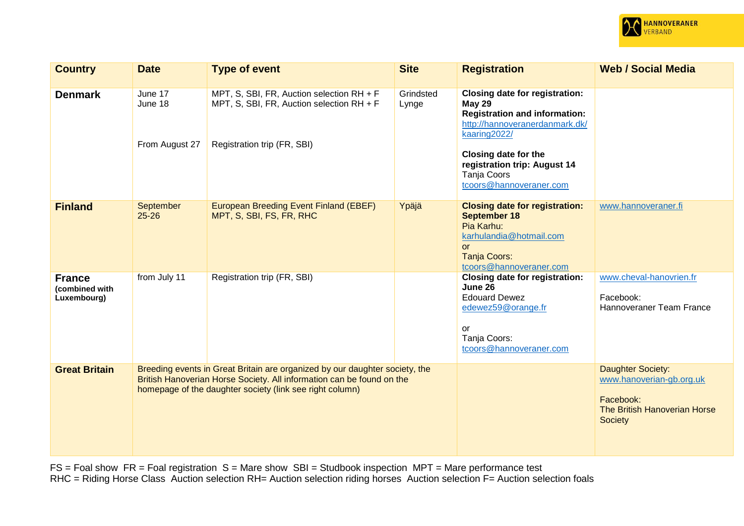| <b>Country</b>                                 | <b>Date</b>                                                                                                                                                                                                      | <b>Type of event</b>                                                                                                  | <b>Site</b>        | <b>Registration</b>                                                                                                                                                                                                                                       | <b>Web / Social Media</b>                                                                                    |
|------------------------------------------------|------------------------------------------------------------------------------------------------------------------------------------------------------------------------------------------------------------------|-----------------------------------------------------------------------------------------------------------------------|--------------------|-----------------------------------------------------------------------------------------------------------------------------------------------------------------------------------------------------------------------------------------------------------|--------------------------------------------------------------------------------------------------------------|
| <b>Denmark</b>                                 | June 17<br>June 18<br>From August 27                                                                                                                                                                             | MPT, S, SBI, FR, Auction selection RH + F<br>MPT, S, SBI, FR, Auction selection RH + F<br>Registration trip (FR, SBI) | Grindsted<br>Lynge | <b>Closing date for registration:</b><br><b>May 29</b><br><b>Registration and information:</b><br>http://hannoveranerdanmark.dk/<br>kaaring2022/<br><b>Closing date for the</b><br>registration trip: August 14<br>Tanja Coors<br>tcoors@hannoveraner.com |                                                                                                              |
| <b>Finland</b>                                 | <b>September</b><br>$25 - 26$                                                                                                                                                                                    | <b>European Breeding Event Finland (EBEF)</b><br>MPT, S, SBI, FS, FR, RHC                                             | Ypäjä              | <b>Closing date for registration:</b><br><b>September 18</b><br>Pia Karhu:<br>karhulandia@hotmail.com<br><b>or</b><br><b>Tanja Coors:</b><br>tcoors@hannoveraner.com                                                                                      | www.hannoveraner.fi                                                                                          |
| <b>France</b><br>(combined with<br>Luxembourg) | from July 11                                                                                                                                                                                                     | Registration trip (FR, SBI)                                                                                           |                    | <b>Closing date for registration:</b><br>June 26<br><b>Edouard Dewez</b><br>edewez59@orange.fr<br>or<br>Tanja Coors:<br>tcoors@hannoveraner.com                                                                                                           | www.cheval-hanovrien.fr<br>Facebook:<br>Hannoveraner Team France                                             |
| <b>Great Britain</b>                           | Breeding events in Great Britain are organized by our daughter society, the<br>British Hanoverian Horse Society. All information can be found on the<br>homepage of the daughter society (link see right column) |                                                                                                                       |                    |                                                                                                                                                                                                                                                           | Daughter Society:<br>www.hanoverian-gb.org.uk<br>Facebook:<br>The British Hanoverian Horse<br><b>Society</b> |

FS = Foal show FR = Foal registration S = Mare show SBI = Studbook inspection MPT = Mare performance test RHC = Riding Horse Class Auction selection RH= Auction selection riding horses Auction selection F= Auction selection foals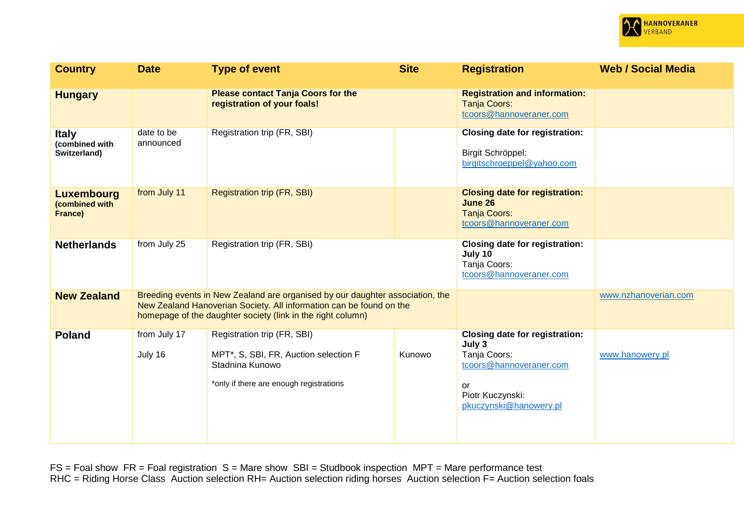| <b>Country</b>                                 | <b>Date</b>                                                                                                                                                                                                         | <b>Type of event</b>                                                                                                               | <b>Site</b> | <b>Registration</b>                                                                                                                            | <b>Web / Social Media</b> |
|------------------------------------------------|---------------------------------------------------------------------------------------------------------------------------------------------------------------------------------------------------------------------|------------------------------------------------------------------------------------------------------------------------------------|-------------|------------------------------------------------------------------------------------------------------------------------------------------------|---------------------------|
| <b>Hungary</b>                                 |                                                                                                                                                                                                                     | <b>Please contact Tanja Coors for the</b><br>registration of your foals!                                                           |             | <b>Registration and information:</b><br><b>Tanja Coors:</b><br>tcoors@hannoveraner.com                                                         |                           |
| <b>Italy</b><br>(combined with<br>Switzerland) | date to be<br>announced                                                                                                                                                                                             | Registration trip (FR, SBI)                                                                                                        |             | <b>Closing date for registration:</b><br>Birgit Schröppel:<br>birgitschroeppel@yahoo.com                                                       |                           |
| <b>Luxembourg</b><br>(combined with<br>France) | from July 11                                                                                                                                                                                                        | <b>Registration trip (FR, SBI)</b>                                                                                                 |             | <b>Closing date for registration:</b><br>June 26<br><b>Tanja Coors:</b><br>tcoors@hannoveraner.com                                             |                           |
| <b>Netherlands</b>                             | from July 25                                                                                                                                                                                                        | Registration trip (FR, SBI)                                                                                                        |             | <b>Closing date for registration:</b><br>July 10<br>Tanja Coors:<br>tcoors@hannoveraner.com                                                    |                           |
| <b>New Zealand</b>                             | Breeding events in New Zealand are organised by our daughter association, the<br>New Zealand Hanoverian Society. All information can be found on the<br>homepage of the daughter society (link in the right column) |                                                                                                                                    |             |                                                                                                                                                | www.nzhanoverian.com      |
| <b>Poland</b>                                  | from July 17<br>July 16                                                                                                                                                                                             | Registration trip (FR, SBI)<br>MPT*, S, SBI, FR, Auction selection F<br>Stadnina Kunowo<br>*only if there are enough registrations | Kunowo      | <b>Closing date for registration:</b><br>July 3<br>Tanja Coors:<br>tcoors@hannoveraner.com<br>or<br>Piotr Kuczynski:<br>pkuczynski@hanowery.pl | www.hanowery.pl           |

FS = Foal show FR = Foal registration S = Mare show SBI = Studbook inspection MPT = Mare performance test RHC = Riding Horse Class Auction selection RH= Auction selection riding horses Auction selection F= Auction selection foals